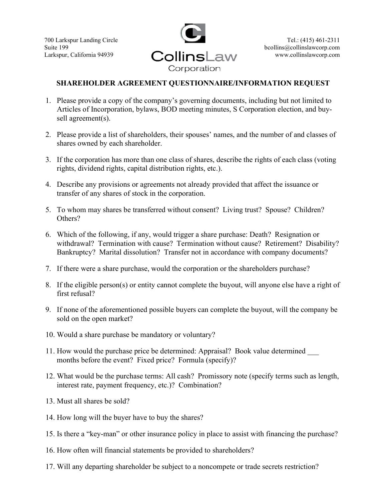700 Larkspur Landing Circle Suite 199 Larkspur, California 94939



## SHAREHOLDER AGREEMENT QUESTIONNAIRE/INFORMATION REQUEST

- 1. Please provide a copy of the company's governing documents, including but not limited to Articles of Incorporation, bylaws, BOD meeting minutes, S Corporation election, and buysell agreement(s).
- 2. Please provide a list of shareholders, their spouses' names, and the number of and classes of shares owned by each shareholder.
- 3. If the corporation has more than one class of shares, describe the rights of each class (voting rights, dividend rights, capital distribution rights, etc.).
- 4. Describe any provisions or agreements not already provided that affect the issuance or transfer of any shares of stock in the corporation.
- 5. To whom may shares be transferred without consent? Living trust? Spouse? Children? Others?
- 6. Which of the following, if any, would trigger a share purchase: Death? Resignation or withdrawal? Termination with cause? Termination without cause? Retirement? Disability? Bankruptcy? Marital dissolution? Transfer not in accordance with company documents?
- 7. If there were a share purchase, would the corporation or the shareholders purchase?
- 8. If the eligible person(s) or entity cannot complete the buyout, will anyone else have a right of first refusal?
- 9. If none of the aforementioned possible buyers can complete the buyout, will the company be sold on the open market?
- 10. Would a share purchase be mandatory or voluntary?
- 11. How would the purchase price be determined: Appraisal? Book value determined \_\_\_ months before the event? Fixed price? Formula (specify)?
- 12. What would be the purchase terms: All cash? Promissory note (specify terms such as length, interest rate, payment frequency, etc.)? Combination?
- 13. Must all shares be sold?
- 14. How long will the buyer have to buy the shares?
- 15. Is there a "key-man" or other insurance policy in place to assist with financing the purchase?
- 16. How often will financial statements be provided to shareholders?
- 17. Will any departing shareholder be subject to a noncompete or trade secrets restriction?